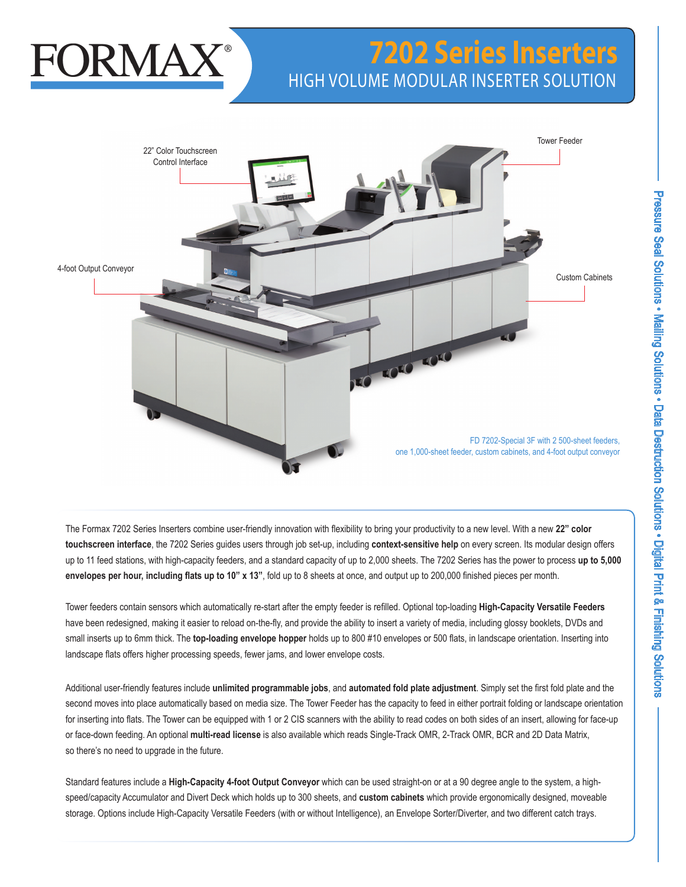# FORMAX

# **7202 Series Inserters** HIGH VOLUME MODULAR INSERTER SOLUTION



The Formax 7202 Series Inserters combine user-friendly innovation with flexibility to bring your productivity to a new level. With a new **22" color touchscreen interface**, the 7202 Series guides users through job set-up, including **context-sensitive help** on every screen. Its modular design offers up to 11 feed stations, with high-capacity feeders, and a standard capacity of up to 2,000 sheets. The 7202 Series has the power to process **up to 5,000 envelopes per hour, including flats up to 10" x 13"**, fold up to 8 sheets at once, and output up to 200,000 finished pieces per month.

Tower feeders contain sensors which automatically re-start after the empty feeder is refilled. Optional top-loading **High-Capacity Versatile Feeders** have been redesigned, making it easier to reload on-the-fly, and provide the ability to insert a variety of media, including glossy booklets, DVDs and small inserts up to 6mm thick. The **top-loading envelope hopper** holds up to 800 #10 envelopes or 500 flats, in landscape orientation. Inserting into landscape flats offers higher processing speeds, fewer jams, and lower envelope costs.

Additional user-friendly features include **unlimited programmable jobs**, and **automated fold plate adjustment**. Simply set the first fold plate and the second moves into place automatically based on media size. The Tower Feeder has the capacity to feed in either portrait folding or landscape orientation for inserting into flats. The Tower can be equipped with 1 or 2 CIS scanners with the ability to read codes on both sides of an insert, allowing for face-up or face-down feeding. An optional **multi-read license** is also available which reads Single-Track OMR, 2-Track OMR, BCR and 2D Data Matrix, so there's no need to upgrade in the future.

Standard features include a **High-Capacity 4-foot Output Conveyor** which can be used straight-on or at a 90 degree angle to the system, a highspeed/capacity Accumulator and Divert Deck which holds up to 300 sheets, and **custom cabinets** which provide ergonomically designed, moveable storage. Options include High-Capacity Versatile Feeders (with or without Intelligence), an Envelope Sorter/Diverter, and two different catch trays.